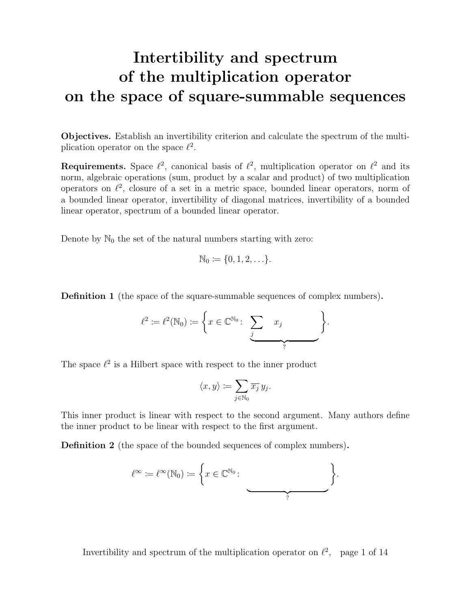# Intertibility and spectrum of the multiplication operator on the space of square-summable sequences

Objectives. Establish an invertibility criterion and calculate the spectrum of the multiplication operator on the space  $\ell^2$ .

**Requirements.** Space  $\ell^2$ , canonical basis of  $\ell^2$ , multiplication operator on  $\ell^2$  and its norm, algebraic operations (sum, product by a scalar and product) of two multiplication operators on  $\ell^2$ , closure of a set in a metric space, bounded linear operators, norm of a bounded linear operator, invertibility of diagonal matrices, invertibility of a bounded linear operator, spectrum of a bounded linear operator.

Denote by  $\mathbb{N}_0$  the set of the natural numbers starting with zero:

$$
\mathbb{N}_0 \coloneqq \{0, 1, 2, \ldots\}.
$$

Definition 1 (the space of the square-summable sequences of complex numbers).

$$
\ell^2 := \ell^2(\mathbb{N}_0) := \left\{ x \in \mathbb{C}^{\mathbb{N}_0} \colon \underbrace{\sum_{j} x_j}_{?} x_j \right\}.
$$

The space  $\ell^2$  is a Hilbert space with respect to the inner product

$$
\langle x,y\rangle:=\sum_{j\in\mathbb{N}_0}\overline{x_j}\,y_j.
$$

This inner product is linear with respect to the second argument. Many authors define the inner product to be linear with respect to the first argument.

Definition 2 (the space of the bounded sequences of complex numbers).

$$
\ell^{\infty} := \ell^{\infty}(\mathbb{N}_0) := \left\{ x \in \mathbb{C}^{\mathbb{N}_0} \colon \underbrace{\qquad \qquad }_{?} \right\}
$$

.

Invertibility and spectrum of the multiplication operator on  $\ell^2$ , page 1 of 14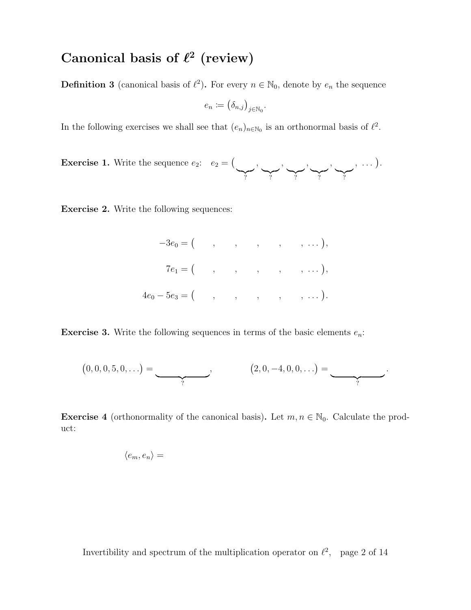# Canonical basis of  $\ell^2$  (review)

**Definition 3** (canonical basis of  $\ell^2$ ). For every  $n \in \mathbb{N}_0$ , denote by  $e_n$  the sequence

$$
e_n \coloneqq \left(\delta_{n,j}\right)_{j \in \mathbb{N}_0}.
$$

In the following exercises we shall see that  $(e_n)_{n \in \mathbb{N}_0}$  is an orthonormal basis of  $\ell^2$ .

**Exercise 1.** Write the sequence  $e_2$ :  $e_2 = ($  $\sum_{i=1}^{n}$ ,  $\sum_{i=1}^n$ ,  $\sum_{i=1}^{n}$ ,  $\sum_{i=1}^{n}$ ,  $\sum_{i=1}^{n}$  $, \ldots$  ).

Exercise 2. Write the following sequences:

$$
-3e_0 = ( , , , , , , , , ... ),
$$
  
\n
$$
7e_1 = ( , , , , , , , ... ),
$$
  
\n
$$
4e_0 - 5e_3 = ( , , , , , , , ... ).
$$

**Exercise 3.** Write the following sequences in terms of the basic elements  $e_n$ :

$$
(0,0,0,5,0,...) = \underbrace{\qquad \qquad}_{?}, \qquad (2,0,-4,0,0,...) = \underbrace{\qquad \qquad}_{?}.
$$

**Exercise 4** (orthonormality of the canonical basis). Let  $m, n \in \mathbb{N}_0$ . Calculate the product:

$$
\langle e_m, e_n \rangle =
$$

Invertibility and spectrum of the multiplication operator on  $\ell^2$ , page 2 of 14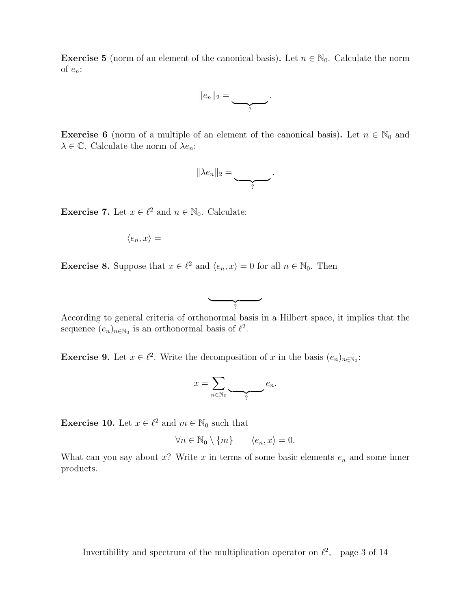**Exercise 5** (norm of an element of the canonical basis). Let  $n \in \mathbb{N}_0$ . Calculate the norm of  $e_n$ :

$$
||e_n||_2=\underbrace{\qquad \qquad }_{?}.
$$

**Exercise 6** (norm of a multiple of an element of the canonical basis). Let  $n \in \mathbb{N}_0$  and  $\lambda \in \mathbb{C}$ . Calculate the norm of  $\lambda e_n$ :

$$
\|\lambda e_n\|_2=\underbrace{\qquad \qquad}_{?}.
$$

**Exercise 7.** Let  $x \in \ell^2$  and  $n \in \mathbb{N}_0$ . Calculate:

$$
\langle e_n, x \rangle =
$$

**Exercise 8.** Suppose that  $x \in \ell^2$  and  $\langle e_n, x \rangle = 0$  for all  $n \in \mathbb{N}_0$ . Then



 $\overbrace{?}$ 

**Exercise 9.** Let  $x \in \ell^2$ . Write the decomposition of x in the basis  $(e_n)_{n \in \mathbb{N}_0}$ :

$$
x = \sum_{n \in \mathbb{N}_0} \underbrace{\qquad \qquad}_{?} e_n.
$$

**Exercise 10.** Let  $x \in \ell^2$  and  $m \in \mathbb{N}_0$  such that

$$
\forall n \in \mathbb{N}_0 \setminus \{m\} \qquad \langle e_n, x \rangle = 0.
$$

What can you say about  $x$ ? Write  $x$  in terms of some basic elements  $e_n$  and some inner products.

Invertibility and spectrum of the multiplication operator on  $\ell^2$ , page 3 of 14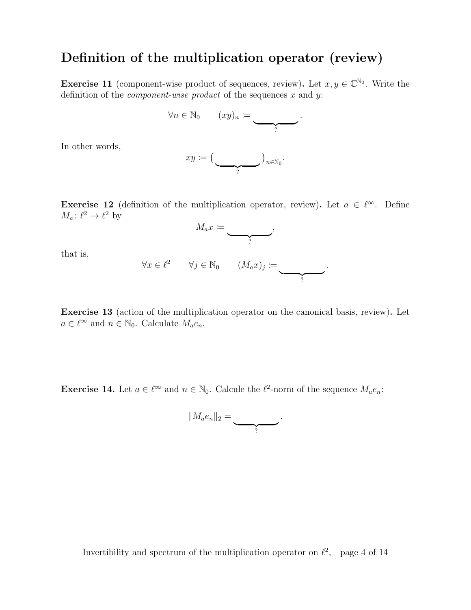### Definition of the multiplication operator (review)

**Exercise 11** (component-wise product of sequences, review). Let  $x, y \in \mathbb{C}^{\mathbb{N}_0}$ . Write the definition of the *component-wise product* of the sequences x and y:

$$
\forall n \in \mathbb{N}_0 \qquad (xy)_n := \underbrace{\qquad \qquad }_{?}.
$$

In other words,

$$
xy\coloneqq\big(\underbrace{\qquad\qquad}_{?}\big)_{n\in\mathbb{N}_0}.
$$

**Exercise 12** (definition of the multiplication operator, review). Let  $a \in \ell^{\infty}$ . Define  $M_a: \ell^2 \to \ell^2$  by



that is,

$$
\forall x \in \ell^2 \qquad \forall j \in \mathbb{N}_0 \qquad (M_a x)_j := \underbrace{\qquad \qquad}_{?}.
$$

Exercise 13 (action of the multiplication operator on the canonical basis, review). Let  $a \in \ell^{\infty}$  and  $n \in \mathbb{N}_0$ . Calculate  $M_a e_n$ .

**Exercise 14.** Let  $a \in \ell^{\infty}$  and  $n \in \mathbb{N}_0$ . Calcule the  $\ell^2$ -norm of the sequence  $M_a e_n$ :

$$
||M_a e_n||_2 = \underbrace{\qquad \qquad }_{?}.
$$

Invertibility and spectrum of the multiplication operator on  $\ell^2$ , page 4 of 14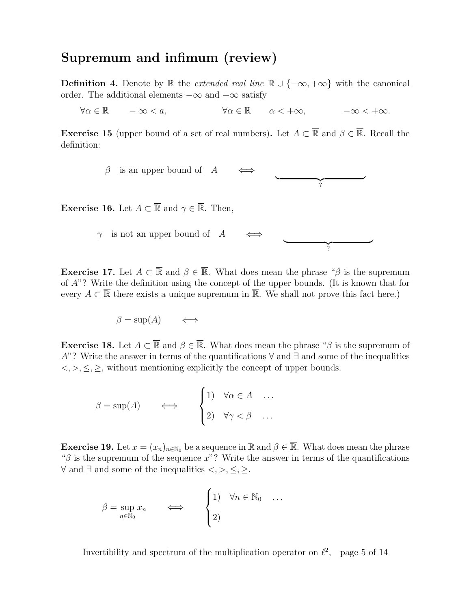#### Supremum and infimum (review)

**Definition 4.** Denote by  $\overline{\mathbb{R}}$  the *extended real line*  $\mathbb{R} \cup \{-\infty, +\infty\}$  with the canonical order. The additional elements  $-\infty$  and  $+\infty$  satisfy

 $\forall \alpha \in \mathbb{R}$   $-\infty < a$ ,  $\forall \alpha \in \mathbb{R}$   $\alpha < +\infty$ ,  $-\infty < +\infty$ .

**Exercise 15** (upper bound of a set of real numbers). Let  $A \subset \overline{\mathbb{R}}$  and  $\beta \in \overline{\mathbb{R}}$ . Recall the definition:

> $\beta$  is an upper bound of A  $\frac{1}{2}$ ?

**Exercise 16.** Let  $A \subset \overline{\mathbb{R}}$  and  $\gamma \in \overline{\mathbb{R}}$ . Then,

 $\gamma$  is not an upper bound of A  $\frac{1}{2}$ ?

**Exercise 17.** Let  $A \subset \overline{\mathbb{R}}$  and  $\beta \in \overline{\mathbb{R}}$ . What does mean the phrase " $\beta$  is the supremum of A"? Write the definition using the concept of the upper bounds. (It is known that for every  $A \subset \overline{\mathbb{R}}$  there exists a unique supremum in  $\overline{\mathbb{R}}$ . We shall not prove this fact here.)

$$
\beta = \sup(A) \qquad \Longleftrightarrow
$$

**Exercise 18.** Let  $A \subset \overline{\mathbb{R}}$  and  $\beta \in \overline{\mathbb{R}}$ . What does mean the phrase " $\beta$  is the supremum of A"? Write the answer in terms of the quantifications  $\forall$  and  $\exists$  and some of the inequalities  $\langle \xi, \xi, \xi \rangle$ , without mentioning explicitly the concept of upper bounds.

$$
\beta = \sup(A) \qquad \Longleftrightarrow \qquad \begin{cases} 1 & \forall \alpha \in A & \dots \\ 2 & \forall \gamma < \beta & \dots \end{cases}
$$

**Exercise 19.** Let  $x = (x_n)_{n \in \mathbb{N}_0}$  be a sequence in  $\mathbb{R}$  and  $\beta \in \overline{\mathbb{R}}$ . What does mean the phrase " $\beta$  is the supremum of the sequence x"? Write the answer in terms of the quantifications  $\forall$  and ∃ and some of the inequalities <, >, ≤, ≥.

$$
\beta = \sup_{n \in \mathbb{N}_0} x_n \qquad \Longleftrightarrow \qquad \begin{cases} 1 & \forall n \in \mathbb{N}_0 & \dots \\ 2 & \end{cases}
$$

Invertibility and spectrum of the multiplication operator on  $\ell^2$ , page 5 of 14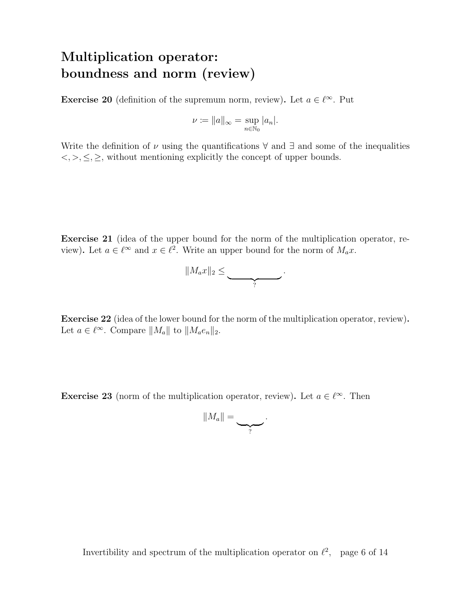# Multiplication operator: boundness and norm (review)

**Exercise 20** (definition of the supremum norm, review). Let  $a \in \ell^{\infty}$ . Put

$$
\nu \coloneqq \|a\|_{\infty} = \sup_{n \in \mathbb{N}_0} |a_n|.
$$

Write the definition of  $\nu$  using the quantifications  $\forall$  and  $\exists$  and some of the inequalities  $\langle \xi, \xi, \xi \rangle$ , without mentioning explicitly the concept of upper bounds.

Exercise 21 (idea of the upper bound for the norm of the multiplication operator, review). Let  $a \in \ell^{\infty}$  and  $x \in \ell^2$ . Write an upper bound for the norm of  $M_a x$ .



Exercise 22 (idea of the lower bound for the norm of the multiplication operator, review). Let  $a \in \ell^{\infty}$ . Compare  $||M_a||$  to  $||M_a e_n||_2$ .

**Exercise 23** (norm of the multiplication operator, review). Let  $a \in \ell^{\infty}$ . Then

$$
||M_a||=\underbrace{\qquad \qquad}_{?}.
$$

Invertibility and spectrum of the multiplication operator on  $\ell^2$ , page 6 of 14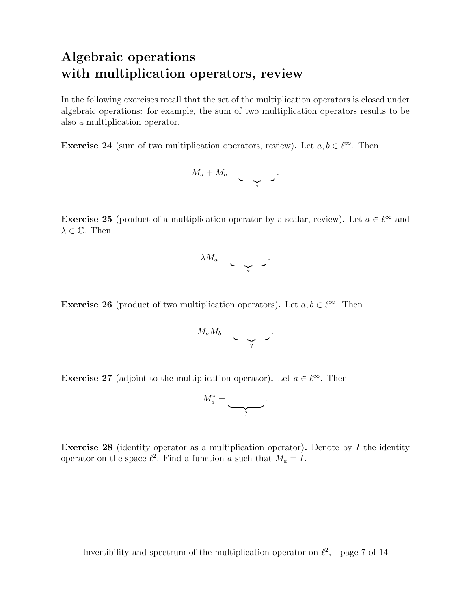# Algebraic operations with multiplication operators, review

In the following exercises recall that the set of the multiplication operators is closed under algebraic operations: for example, the sum of two multiplication operators results to be also a multiplication operator.

**Exercise 24** (sum of two multiplication operators, review). Let  $a, b \in \ell^{\infty}$ . Then

$$
M_a + M_b = \underbrace{\qquad \qquad }_{?}.
$$

**Exercise 25** (product of a multiplication operator by a scalar, review). Let  $a \in \ell^{\infty}$  and  $\lambda \in \mathbb{C}$ . Then



**Exercise 26** (product of two multiplication operators). Let  $a, b \in \ell^{\infty}$ . Then

$$
M_a M_b = \underbrace{\qquad \qquad }_{?}.
$$

**Exercise 27** (adjoint to the multiplication operator). Let  $a \in \ell^{\infty}$ . Then

$$
M_a^* = \underbrace{\qquad \qquad }_{?}.
$$

**Exercise 28** (identity operator as a multiplication operator). Denote by  $I$  the identity operator on the space  $\ell^2$ . Find a function a such that  $M_a = I$ .

Invertibility and spectrum of the multiplication operator on  $\ell^2$ , page 7 of 14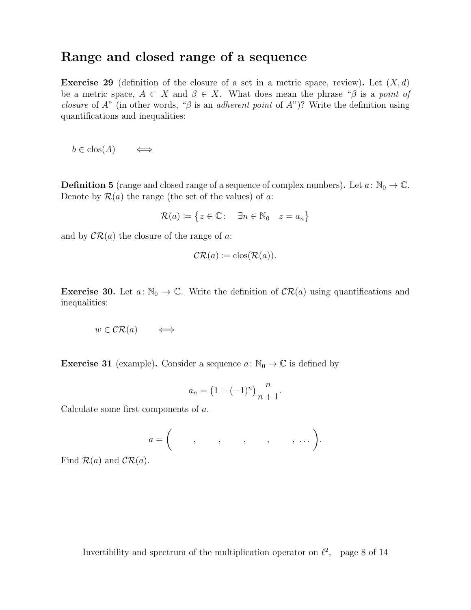#### Range and closed range of a sequence

**Exercise 29** (definition of the closure of a set in a metric space, review). Let  $(X, d)$ be a metric space,  $A \subset X$  and  $\beta \in X$ . What does mean the phrase " $\beta$  is a point of *closure* of A" (in other words, " $\beta$  is an *adherent point* of A")? Write the definition using quantifications and inequalities:

 $b \in \text{clos}(A) \qquad \Longleftrightarrow$ 

**Definition 5** (range and closed range of a sequence of complex numbers). Let  $a: \mathbb{N}_0 \to \mathbb{C}$ . Denote by  $\mathcal{R}(a)$  the range (the set of the values) of a:

$$
\mathcal{R}(a) \coloneqq \{ z \in \mathbb{C} \colon \quad \exists n \in \mathbb{N}_0 \quad z = a_n \}
$$

and by  $\mathcal{CR}(a)$  the closure of the range of a:

$$
\mathcal{CR}(a) \coloneqq \text{clos}(\mathcal{R}(a)).
$$

**Exercise 30.** Let  $a: \mathbb{N}_0 \to \mathbb{C}$ . Write the definition of  $CR(a)$  using quantifications and inequalities:

$$
w \in \mathcal{CR}(a) \qquad \Longleftrightarrow
$$

**Exercise 31** (example). Consider a sequence  $a: \mathbb{N}_0 \to \mathbb{C}$  is defined by

$$
a_n = (1 + (-1)^n) \frac{n}{n+1}.
$$

Calculate some first components of a.

a = , , , , , . . . .

Find  $\mathcal{R}(a)$  and  $\mathcal{CR}(a)$ .

Invertibility and spectrum of the multiplication operator on  $\ell^2$ , page 8 of 14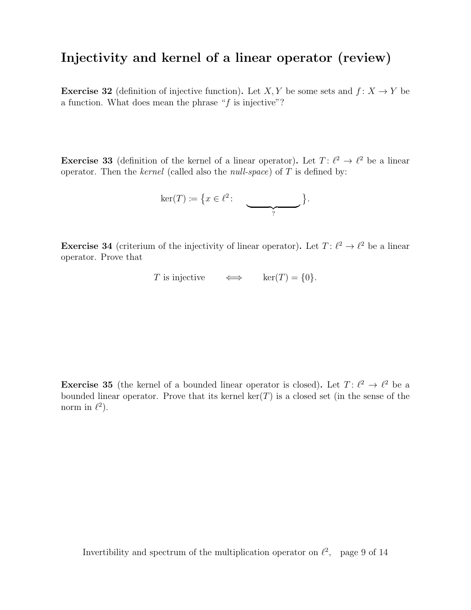#### Injectivity and kernel of a linear operator (review)

**Exercise 32** (definition of injective function). Let X, Y be some sets and  $f: X \to Y$  be a function. What does mean the phrase " $f$  is injective"?

**Exercise 33** (definition of the kernel of a linear operator). Let  $T: \ell^2 \to \ell^2$  be a linear operator. Then the kernel (called also the *null-space*) of  $T$  is defined by:

$$
\ker(T) \coloneqq \big\{ x \in \ell^2 \colon \underbrace{\qquad \qquad }_{?} \big\}.
$$

**Exercise 34** (criterium of the injectivity of linear operator). Let  $T: \ell^2 \to \ell^2$  be a linear operator. Prove that

T is injective  $\iff$  ker $(T) = \{0\}.$ 

**Exercise 35** (the kernel of a bounded linear operator is closed). Let  $T: \ell^2 \to \ell^2$  be a bounded linear operator. Prove that its kernel  $\ker(T)$  is a closed set (in the sense of the norm in  $\ell^2$ ).

Invertibility and spectrum of the multiplication operator on  $\ell^2$ , page 9 of 14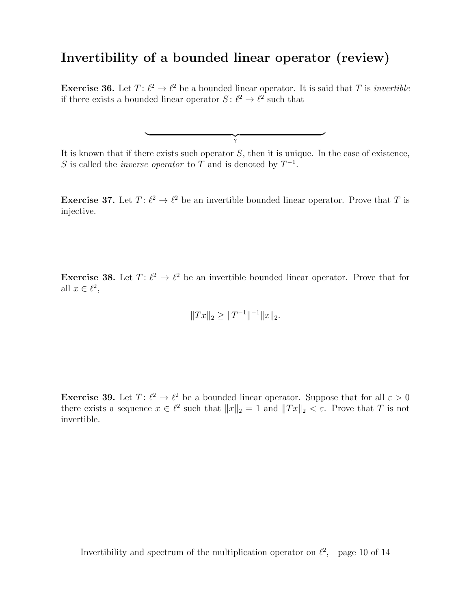#### Invertibility of a bounded linear operator (review)

**Exercise 36.** Let  $T: \ell^2 \to \ell^2$  be a bounded linear operator. It is said that T is *invertible* if there exists a bounded linear operator  $S: \ell^2 \to \ell^2$  such that

It is known that if there exists such operator  $S$ , then it is unique. In the case of existence, S is called the *inverse operator* to T and is denoted by  $T^{-1}$ .

 $\frac{1}{2}$  $\check{?}$ 

**Exercise 37.** Let  $T: \ell^2 \to \ell^2$  be an invertible bounded linear operator. Prove that T is injective.

**Exercise 38.** Let  $T: \ell^2 \to \ell^2$  be an invertible bounded linear operator. Prove that for all  $x \in \ell^2$ ,

$$
||Tx||_2 \ge ||T^{-1}||^{-1}||x||_2.
$$

**Exercise 39.** Let  $T: \ell^2 \to \ell^2$  be a bounded linear operator. Suppose that for all  $\varepsilon > 0$ there exists a sequence  $x \in \ell^2$  such that  $||x||_2 = 1$  and  $||Tx||_2 < \varepsilon$ . Prove that T is not invertible.

Invertibility and spectrum of the multiplication operator on  $\ell^2$ , page 10 of 14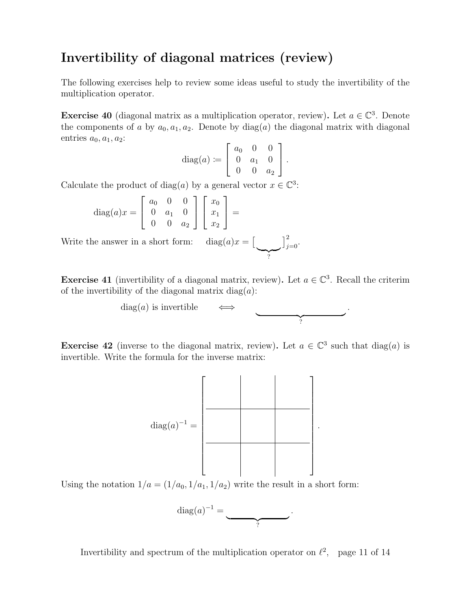### Invertibility of diagonal matrices (review)

The following exercises help to review some ideas useful to study the invertibility of the multiplication operator.

**Exercise 40** (diagonal matrix as a multiplication operator, review). Let  $a \in \mathbb{C}^3$ . Denote the components of a by  $a_0, a_1, a_2$ . Denote by diag(a) the diagonal matrix with diagonal entries  $a_0, a_1, a_2$ :

diag(a) := 
$$
\begin{bmatrix} a_0 & 0 & 0 \ 0 & a_1 & 0 \ 0 & 0 & a_2 \end{bmatrix}.
$$

Calculate the product of diag(a) by a general vector  $x \in \mathbb{C}^3$ :

diag
$$
(a)x =
$$

$$
\begin{bmatrix} a_0 & 0 & 0 \ 0 & a_1 & 0 \ 0 & 0 & a_2 \end{bmatrix} \begin{bmatrix} x_0 \ x_1 \ x_2 \end{bmatrix} =
$$

Write the answer in a short form:  $diag(a)x =$  $\sum_{?}$  $\big]_{j=0}^{2}$ .

**Exercise 41** (invertibility of a diagonal matrix, review). Let  $a \in \mathbb{C}^3$ . Recall the criterim of the invertibility of the diagonal matrix  $diag(a)$ :

$$
\text{diag}(a) \text{ is invertible} \qquad \Longleftrightarrow \qquad \qquad \underbrace{\qquad \qquad }.
$$

**Exercise 42** (inverse to the diagonal matrix, review). Let  $a \in \mathbb{C}^3$  such that  $\text{diag}(a)$  is invertible. Write the formula for the inverse matrix:



Using the notation  $1/a = (1/a_0, 1/a_1, 1/a_2)$  write the result in a short form:

$$
\mathrm{diag}(a)^{-1} = \underbrace{\qquad \qquad }_{?}.
$$

Invertibility and spectrum of the multiplication operator on  $\ell^2$ , page 11 of 14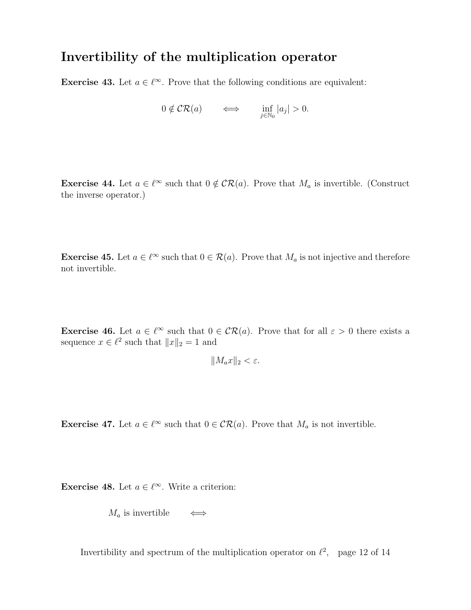### Invertibility of the multiplication operator

**Exercise 43.** Let  $a \in \ell^{\infty}$ . Prove that the following conditions are equivalent:

$$
0 \notin \mathcal{CR}(a) \qquad \Longleftrightarrow \qquad \inf_{j \in \mathbb{N}_0} |a_j| > 0.
$$

**Exercise 44.** Let  $a \in \ell^{\infty}$  such that  $0 \notin \mathcal{CR}(a)$ . Prove that  $M_a$  is invertible. (Construct the inverse operator.)

**Exercise 45.** Let  $a \in \ell^{\infty}$  such that  $0 \in \mathcal{R}(a)$ . Prove that  $M_a$  is not injective and therefore not invertible.

**Exercise 46.** Let  $a \in \ell^{\infty}$  such that  $0 \in \ell^{\infty}(\ell^{\infty})$ . Prove that for all  $\varepsilon > 0$  there exists a sequence  $x \in \ell^2$  such that  $||x||_2 = 1$  and

$$
||M_a x||_2 < \varepsilon.
$$

**Exercise 47.** Let  $a \in \ell^{\infty}$  such that  $0 \in \mathcal{CR}(a)$ . Prove that  $M_a$  is not invertible.

**Exercise 48.** Let  $a \in \ell^{\infty}$ . Write a criterion:

$$
M_a \text{ is invertible} \qquad \Longleftrightarrow
$$

Invertibility and spectrum of the multiplication operator on  $\ell^2$ , page 12 of 14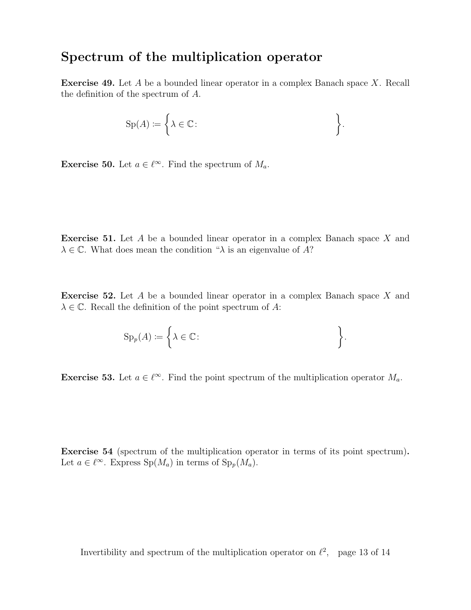#### Spectrum of the multiplication operator

Exercise 49. Let A be a bounded linear operator in a complex Banach space X. Recall the definition of the spectrum of A.

$$
\mathrm{Sp}(A) := \bigg\{ \lambda \in \mathbb{C} \colon \bigg\}.
$$

**Exercise 50.** Let  $a \in \ell^{\infty}$ . Find the spectrum of  $M_a$ .

Exercise 51. Let A be a bounded linear operator in a complex Banach space X and  $\lambda \in \mathbb{C}$ . What does mean the condition " $\lambda$  is an eigenvalue of A?

**Exercise 52.** Let  $A$  be a bounded linear operator in a complex Banach space  $X$  and  $\lambda \in \mathbb{C}$ . Recall the definition of the point spectrum of A:

$$
\mathrm{Sp}_p(A) \coloneqq \left\{ \lambda \in \mathbb{C} \colon \right\}.
$$

**Exercise 53.** Let  $a \in \ell^{\infty}$ . Find the point spectrum of the multiplication operator  $M_a$ .

Exercise 54 (spectrum of the multiplication operator in terms of its point spectrum). Let  $a \in \ell^{\infty}$ . Express  $Sp(M_a)$  in terms of  $Sp_p(M_a)$ .

Invertibility and spectrum of the multiplication operator on  $\ell^2$ , page 13 of 14